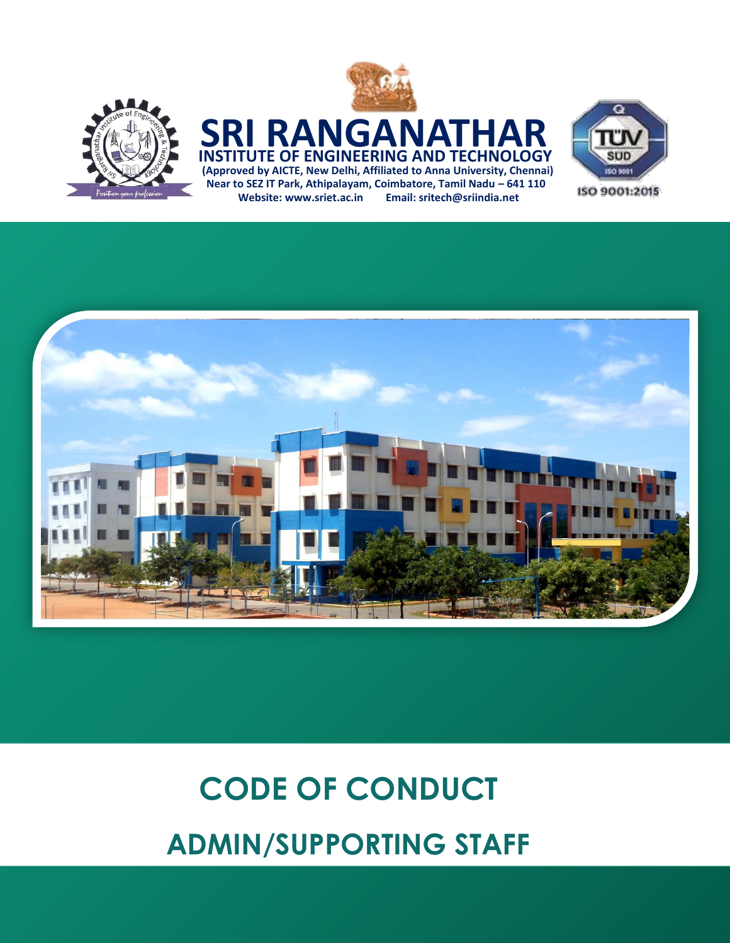

### **(Approved by AICTE, New Delhi, Affiliated to Anna University, Chennai) SRI RANGANATI INSTITUTE OF ENGINEERING AND TECHNOLOGY Near to SEZ IT Park, Athipalayam, Coimbatore, Tamil Nadu – 641 110**

**Website: [www.sriet.ac.in](http://www.sriet.ac.in/) Email: sritech@sriindia.net**





# **CODE OF CONDUCT ADMIN/SUPPORTING STAFF**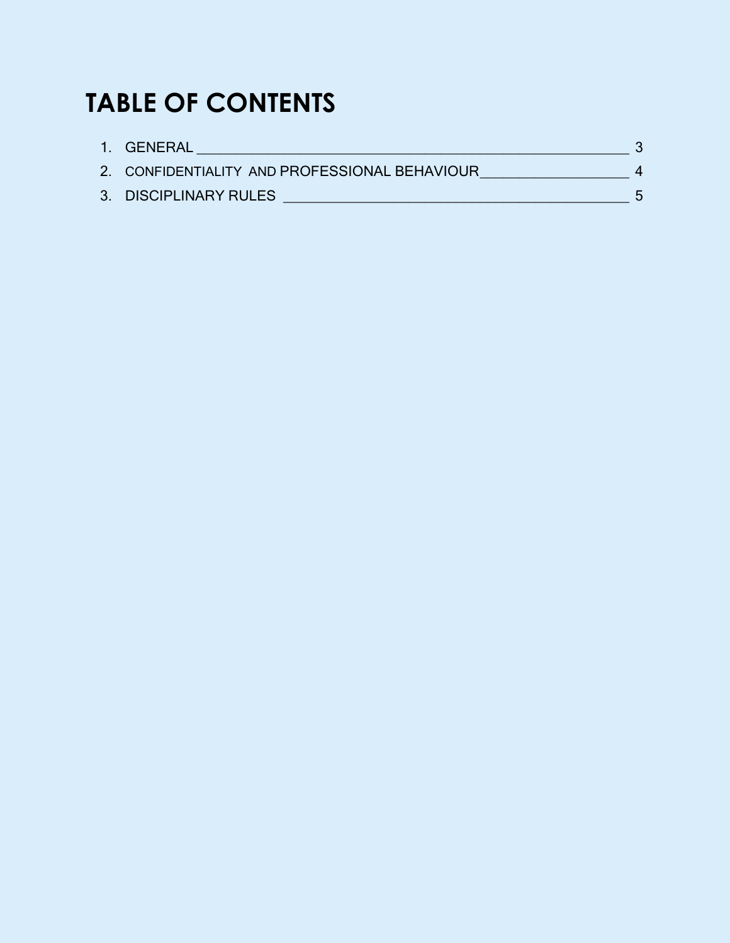## **TABLE OF CONTENTS**

| 1. GENERAL                                    |  |
|-----------------------------------------------|--|
| 2. CONFIDENTIALITY AND PROFESSIONAL BEHAVIOUR |  |
| 3. DISCIPLINARY RULES                         |  |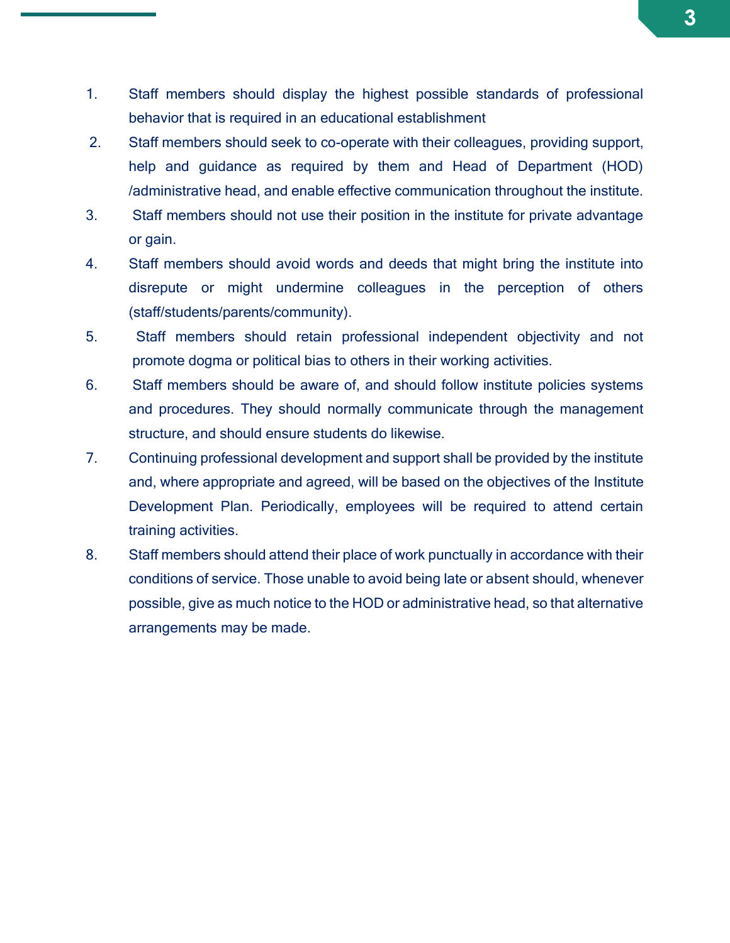- 1. Staff members should display the highest possible standards of professional behavior that is required in an educational establishment
- 2. Staff members should seek to co-operate with their colleagues, providing support, help and guidance as required by them and Head of Department (HOD) /administrative head, and enable effective communication throughout the institute.
- 3. Staff members should not use their position in the institute for private advantage or gain.
- 4. Staff members should avoid words and deeds that might bring the institute into disrepute or might undermine colleagues in the perception of others (staff/students/parents/community).
- 5. Staff members should retain professional independent objectivity and not promote dogma or political bias to others in their working activities.
- 6. Staff members should be aware of, and should follow institute policies systems and procedures. They should normally communicate through the management structure, and should ensure students do likewise.
- 7. Continuing professional development and support shall be provided by the institute and, where appropriate and agreed, will be based on the objectives of the Institute Development Plan. Periodically, employees will be required to attend certain training activities.
- 8. Staff members should attend their place of work punctually in accordance with their conditions of service. Those unable to avoid being late or absent should, whenever possible, give as much notice to the HOD or administrative head, so that alternative arrangements may be made.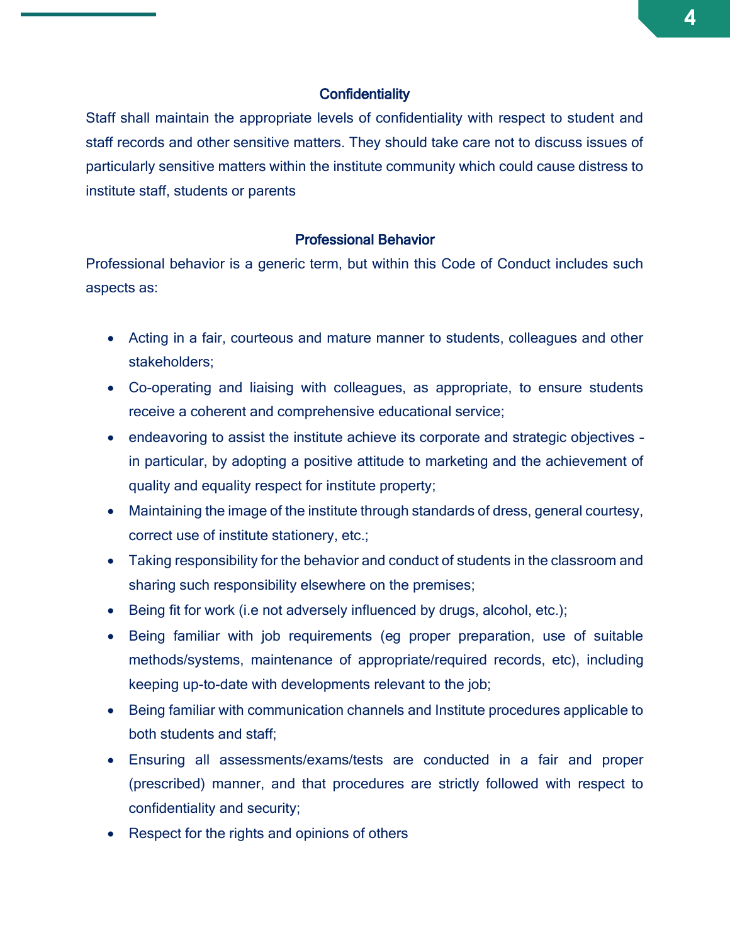#### **Confidentiality**

Staff shall maintain the appropriate levels of confidentiality with respect to student and staff records and other sensitive matters. They should take care not to discuss issues of particularly sensitive matters within the institute community which could cause distress to institute staff, students or parents

#### Professional Behavior

Professional behavior is a generic term, but within this Code of Conduct includes such aspects as:

- Acting in a fair, courteous and mature manner to students, colleagues and other stakeholders;
- Co-operating and liaising with colleagues, as appropriate, to ensure students receive a coherent and comprehensive educational service;
- endeavoring to assist the institute achieve its corporate and strategic objectives in particular, by adopting a positive attitude to marketing and the achievement of quality and equality respect for institute property;
- Maintaining the image of the institute through standards of dress, general courtesy, correct use of institute stationery, etc.;
- Taking responsibility for the behavior and conduct of students in the classroom and sharing such responsibility elsewhere on the premises;
- Being fit for work (i.e not adversely influenced by drugs, alcohol, etc.);
- Being familiar with job requirements (eg proper preparation, use of suitable methods/systems, maintenance of appropriate/required records, etc), including keeping up-to-date with developments relevant to the job;
- Being familiar with communication channels and Institute procedures applicable to both students and staff;
- Ensuring all assessments/exams/tests are conducted in a fair and proper (prescribed) manner, and that procedures are strictly followed with respect to confidentiality and security;
- Respect for the rights and opinions of others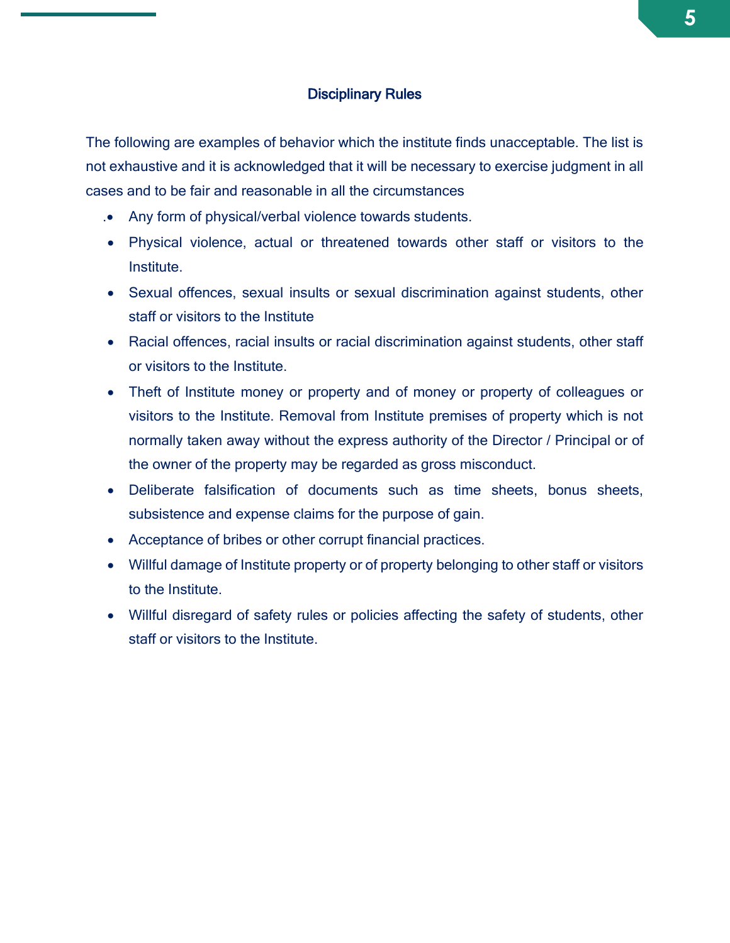#### Disciplinary Rules

The following are examples of behavior which the institute finds unacceptable. The list is not exhaustive and it is acknowledged that it will be necessary to exercise judgment in all cases and to be fair and reasonable in all the circumstances

- . Any form of physical/verbal violence towards students.
- Physical violence, actual or threatened towards other staff or visitors to the Institute.
- Sexual offences, sexual insults or sexual discrimination against students, other staff or visitors to the Institute
- Racial offences, racial insults or racial discrimination against students, other staff or visitors to the Institute.
- Theft of Institute money or property and of money or property of colleagues or visitors to the Institute. Removal from Institute premises of property which is not normally taken away without the express authority of the Director / Principal or of the owner of the property may be regarded as gross misconduct.
- Deliberate falsification of documents such as time sheets, bonus sheets, subsistence and expense claims for the purpose of gain.
- Acceptance of bribes or other corrupt financial practices.
- Willful damage of Institute property or of property belonging to other staff or visitors to the Institute.
- Willful disregard of safety rules or policies affecting the safety of students, other staff or visitors to the Institute.